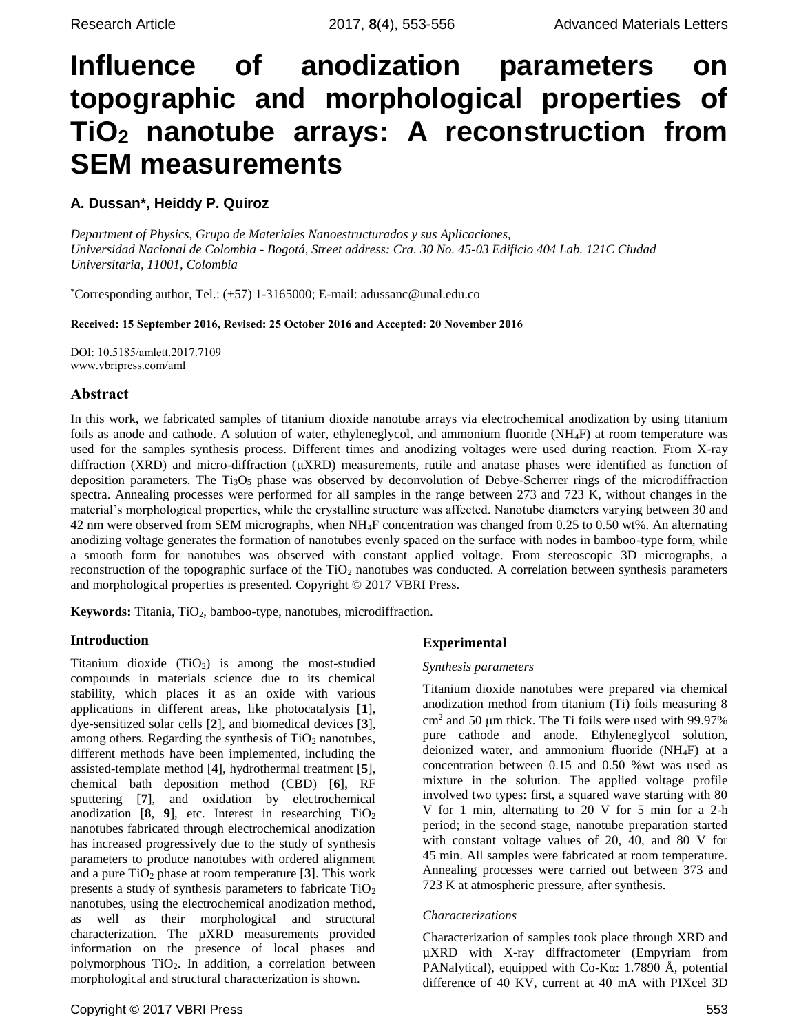# **Influence of anodization parameters on topographic and morphological properties of TiO<sup>2</sup> nanotube arrays: A reconstruction from SEM measurements**

# **A. Dussan\*, Heiddy P. Quiroz**

*Department of Physics, Grupo de Materiales Nanoestructurados y sus Aplicaciones, Universidad Nacional de Colombia - Bogotá, Street address: Cra. 30 No. 45-03 Edificio 404 Lab. 121C Ciudad Universitaria, 11001, Colombia*

\*Corresponding author, Tel.: (+57) 1-3165000; E-mail: adussanc@unal.edu.co

Received: 15 September 2016, Revised: 25 October 2016 and Accepted: 20 November 2016

DOI: 10.5185/amlett.2017.7109 www.vbripress.com/aml

## Abstract

In this work, we fabricated samples of titanium dioxide nanotube arrays via electrochemical anodization by using titanium foils as anode and cathode. A solution of water, ethyleneglycol, and ammonium fluoride (NH4F) at room temperature was used for the samples synthesis process. Different times and anodizing voltages were used during reaction. From X-ray diffraction (XRD) and micro-diffraction ( $\mu$ XRD) measurements, rutile and anatase phases were identified as function of deposition parameters. The  $Ti<sub>3</sub>O<sub>5</sub>$  phase was observed by deconvolution of Debye-Scherrer rings of the microdiffraction spectra. Annealing processes were performed for all samples in the range between 273 and 723 K, without changes in the material's morphological properties, while the crystalline structure was affected. Nanotube diameters varying between 30 and 42 nm were observed from SEM micrographs, when NH4F concentration was changed from 0.25 to 0.50 wt%. An alternating anodizing voltage generates the formation of nanotubes evenly spaced on the surface with nodes in bamboo-type form, while a smooth form for nanotubes was observed with constant applied voltage. From stereoscopic 3D micrographs, a reconstruction of the topographic surface of the  $TiO<sub>2</sub>$  nanotubes was conducted. A correlation between synthesis parameters and morphological properties is presented. Copyright © 2017 VBRI Press.

**Keywords:** Titania, TiO<sub>2</sub>, bamboo-type, nanotubes, microdiffraction.

## **Introduction**

Titanium dioxide  $(TiO<sub>2</sub>)$  is among the most-studied compounds in materials science due to its chemical stability, which places it as an oxide with various applications in different areas, like photocatalysis [**1**], dye-sensitized solar cells [**2**], and biomedical devices [**3**], among others. Regarding the synthesis of  $TiO<sub>2</sub>$  nanotubes, different methods have been implemented, including the assisted-template method [**4**], hydrothermal treatment [**5**], chemical bath deposition method (CBD) [**6**], RF sputtering [**7**], and oxidation by electrochemical anodization  $[8, 9]$ , etc. Interest in researching  $TiO<sub>2</sub>$ nanotubes fabricated through electrochemical anodization has increased progressively due to the study of synthesis parameters to produce nanotubes with ordered alignment and a pure  $TiO<sub>2</sub>$  phase at room temperature [3]. This work presents a study of synthesis parameters to fabricate TiO<sup>2</sup> nanotubes, using the electrochemical anodization method, as well as their morphological and structural characterization. The µXRD measurements provided information on the presence of local phases and polymorphous  $TiO<sub>2</sub>$ . In addition, a correlation between morphological and structural characterization is shown.

## **Experimental**

## *Synthesis parameters*

Titanium dioxide nanotubes were prepared via chemical anodization method from titanium (Ti) foils measuring 8  $cm<sup>2</sup>$  and 50  $\mu$ m thick. The Ti foils were used with 99.97% pure cathode and anode. Ethyleneglycol solution, deionized water, and ammonium fluoride (NH4F) at a concentration between 0.15 and 0.50 %wt was used as mixture in the solution. The applied voltage profile involved two types: first, a squared wave starting with 80 V for 1 min, alternating to 20 V for 5 min for a 2-h period; in the second stage, nanotube preparation started with constant voltage values of 20, 40, and 80 V for 45 min. All samples were fabricated at room temperature. Annealing processes were carried out between 373 and 723 K at atmospheric pressure, after synthesis.

## *Characterizations*

Characterization of samples took place through XRD and µXRD with X-ray diffractometer (Empyriam from PANalytical), equipped with Co-K $\alpha$ : 1.7890 Å, potential difference of 40 KV, current at 40 mA with PIXcel 3D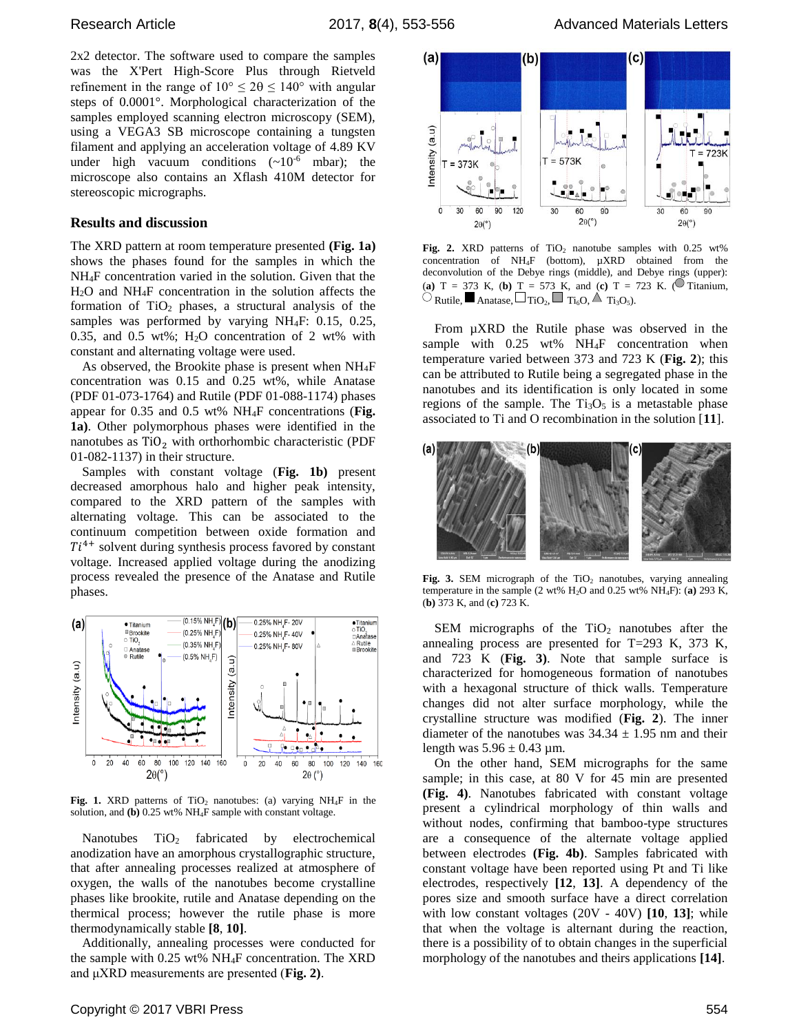2x2 detector. The software used to compare the samples was the X'Pert High-Score Plus through Rietveld refinement in the range of  $10^{\circ} \le 20 \le 140^{\circ}$  with angular steps of 0.0001°. Morphological characterization of the samples employed scanning electron microscopy (SEM), using a VEGA3 SB microscope containing a tungsten filament and applying an acceleration voltage of 4.89 KV under high vacuum conditions  $({\sim}10^{-6}$  mbar); the microscope also contains an Xflash 410M detector for stereoscopic micrographs.

## **Results and discussion**

The XRD pattern at room temperature presented **(Fig. 1a)** shows the phases found for the samples in which the NH4F concentration varied in the solution. Given that the H2O and NH4F concentration in the solution affects the formation of  $TiO<sub>2</sub>$  phases, a structural analysis of the samples was performed by varying NH4F: 0.15, 0.25, 0.35, and 0.5 wt%;  $H<sub>2</sub>O$  concentration of 2 wt% with constant and alternating voltage were used.

As observed, the Brookite phase is present when NH4F concentration was 0.15 and 0.25 wt%, while Anatase (PDF 01-073-1764) and Rutile (PDF 01-088-1174) phases appear for 0.35 and 0.5 wt% NH4F concentrations (**Fig. 1a)**. Other polymorphous phases were identified in the nanotubes as  $TiO<sub>2</sub>$  with orthorhombic characteristic (PDF 01-082-1137) in their structure.

Samples with constant voltage (**Fig. 1b)** present decreased amorphous halo and higher peak intensity, compared to the XRD pattern of the samples with alternating voltage. This can be associated to the continuum competition between oxide formation and  $Ti<sup>4+</sup>$  solvent during synthesis process favored by constant voltage. Increased applied voltage during the anodizing process revealed the presence of the Anatase and Rutile phases.



Fig. 1. XRD patterns of  $TiO<sub>2</sub>$  nanotubes: (a) varying NH<sub>4</sub>F in the solution, and **(b)** 0.25 wt% NH4F sample with constant voltage.

Nanotubes TiO<sub>2</sub> fabricated by electrochemical anodization have an amorphous crystallographic structure, that after annealing processes realized at atmosphere of oxygen, the walls of the nanotubes become crystalline phases like brookite, rutile and Anatase depending on the thermical process; however the rutile phase is more thermodynamically stable **[8**, **10]**.

Additionally, annealing processes were conducted for the sample with 0.25 wt% NH4F concentration. The XRD and μXRD measurements are presented (**Fig. 2)**.



Fig. 2. XRD patterns of  $TiO<sub>2</sub>$  nanotube samples with  $0.25$  wt% concentration of NH4F (bottom), µXRD obtained from the deconvolution of the Debye rings (middle), and Debye rings (upper): (**a**)  $T = 373$  K, (**b**)  $T = 573$  K, and (**c**)  $T = 723$  K. ( $\circ$  Titanium,  $\Box$  Rutile, Anatase,  $\Box$  Ti $_{0}$ ,  $\Box$  Ti<sub>6</sub>O,  $\triangle$  Ti<sub>3</sub>O<sub>5</sub>).

From µXRD the Rutile phase was observed in the sample with  $0.25$  wt% NH<sub>4</sub>F concentration when temperature varied between 373 and 723 K (**Fig. 2**); this can be attributed to Rutile being a segregated phase in the nanotubes and its identification is only located in some regions of the sample. The  $Ti<sub>3</sub>O<sub>5</sub>$  is a metastable phase associated to Ti and O recombination in the solution [**11**].



**Fig. 3.** SEM micrograph of the  $TiO<sub>2</sub>$  nanotubes, varying annealing temperature in the sample (2 wt% H2O and 0.25 wt% NH4F): (**a)** 293 K, (**b)** 373 K, and (**c)** 723 K.

SEM micrographs of the  $TiO<sub>2</sub>$  nanotubes after the annealing process are presented for T=293 K, 373 K, and 723 K (**Fig. 3)**. Note that sample surface is characterized for homogeneous formation of nanotubes with a hexagonal structure of thick walls. Temperature changes did not alter surface morphology, while the crystalline structure was modified (**Fig. 2**). The inner diameter of the nanotubes was  $34.34 \pm 1.95$  nm and their length was  $5.96 \pm 0.43$  µm.

On the other hand, SEM micrographs for the same sample; in this case, at 80 V for 45 min are presented **(Fig. 4)**. Nanotubes fabricated with constant voltage present a cylindrical morphology of thin walls and without nodes, confirming that bamboo-type structures are a consequence of the alternate voltage applied between electrodes **(Fig. 4b)**. Samples fabricated with constant voltage have been reported using Pt and Ti like electrodes, respectively **[12**, **13]**. A dependency of the pores size and smooth surface have a direct correlation with low constant voltages (20V - 40V) **[10**, **13]**; while that when the voltage is alternant during the reaction, there is a possibility of to obtain changes in the superficial morphology of the nanotubes and theirs applications **[14]**.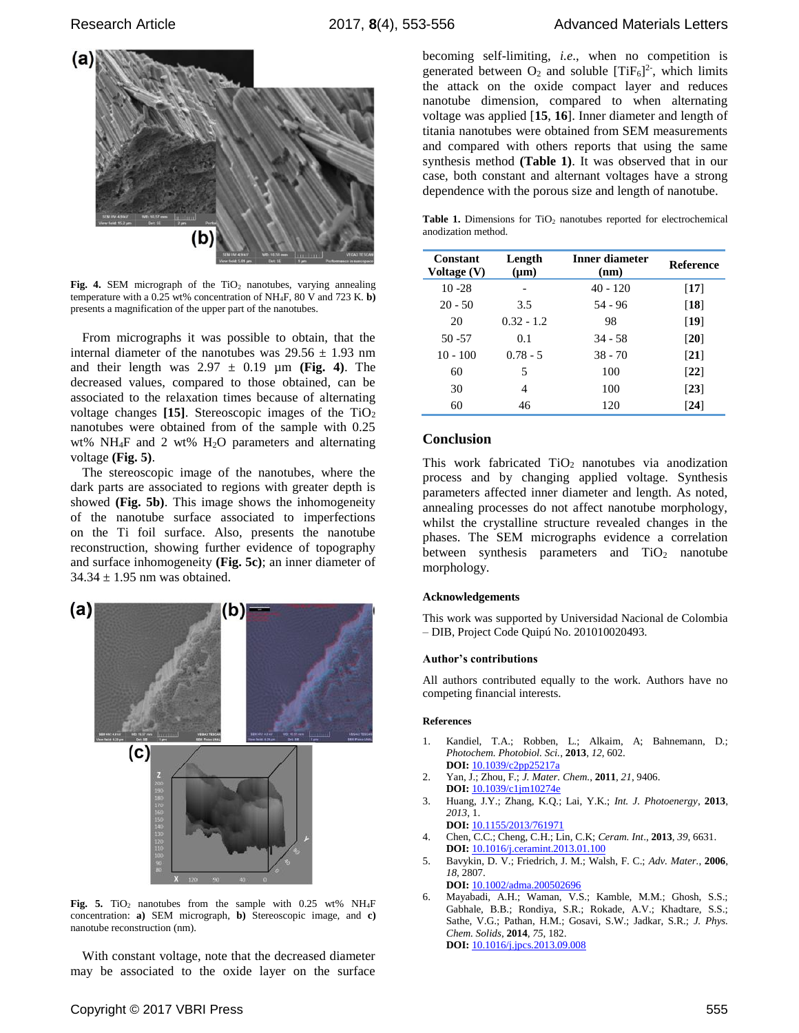

Fig. 4. SEM micrograph of the TiO<sub>2</sub> nanotubes, varying annealing temperature with a 0.25 wt% concentration of NH4F, 80 V and 723 K. **b)** presents a magnification of the upper part of the nanotubes.

From micrographs it was possible to obtain, that the internal diameter of the nanotubes was  $29.56 \pm 1.93$  nm and their length was  $2.97 \pm 0.19$  µm (Fig. 4). The decreased values, compared to those obtained, can be associated to the relaxation times because of alternating voltage changes  $[15]$ . Stereoscopic images of the  $TiO<sub>2</sub>$ nanotubes were obtained from of the sample with 0.25 wt% NH<sub>4</sub>F and 2 wt% H<sub>2</sub>O parameters and alternating voltage **(Fig. 5)**.

The stereoscopic image of the nanotubes, where the dark parts are associated to regions with greater depth is showed **(Fig. 5b)**. This image shows the inhomogeneity of the nanotube surface associated to imperfections on the Ti foil surface. Also, presents the nanotube reconstruction, showing further evidence of topography and surface inhomogeneity **(Fig. 5c)**; an inner diameter of  $34.34 \pm 1.95$  nm was obtained.



Fig. 5. TiO<sub>2</sub> nanotubes from the sample with 0.25 wt% NH<sub>4</sub>F concentration: **a)** SEM micrograph, **b)** Stereoscopic image, and **c)** nanotube reconstruction (nm).

With constant voltage, note that the decreased diameter may be associated to the oxide layer on the surface

becoming self-limiting, *i.e*., when no competition is generated between  $O_2$  and soluble [TiF<sub>6</sub>]<sup>2-</sup>, which limits the attack on the oxide compact layer and reduces nanotube dimension, compared to when alternating voltage was applied [**15**, **16**]. Inner diameter and length of titania nanotubes were obtained from SEM measurements and compared with others reports that using the same synthesis method **(Table 1)**. It was observed that in our case, both constant and alternant voltages have a strong dependence with the porous size and length of nanotube.

Table 1. Dimensions for TiO<sub>2</sub> nanotubes reported for electrochemical anodization method.

| Constant<br>Voltage (V) | Length<br>$(\mu m)$ | Inner diameter<br>(nm) | <b>Reference</b>             |
|-------------------------|---------------------|------------------------|------------------------------|
| $10 - 28$               |                     | $40 - 120$             | $[17]$                       |
| $20 - 50$               | 3.5                 | 54 - 96                | $\lceil 18 \rceil$           |
| 20                      | $0.32 - 1.2$        | 98                     | $\lceil 19 \rceil$           |
| $50 - 57$               | 0.1                 | $34 - 58$              | $\lceil 20 \rceil$           |
| $10 - 100$              | $0.78 - 5$          | $38 - 70$              | $\left\lceil 21\right\rceil$ |
| 60                      | 5                   | 100                    | $\left\lceil 22\right\rceil$ |
| 30                      | 4                   | 100                    | $\left[23\right]$            |
| 60                      | 46                  | 120                    | [24]                         |

#### **Conclusion**

This work fabricated  $TiO<sub>2</sub>$  nanotubes via anodization process and by changing applied voltage. Synthesis parameters affected inner diameter and length. As noted, annealing processes do not affect nanotube morphology, whilst the crystalline structure revealed changes in the phases. The SEM micrographs evidence a correlation between synthesis parameters and  $TiO<sub>2</sub>$  nanotube morphology.

#### **Acknowledgements**

This work was supported by Universidad Nacional de Colombia – DIB, Project Code Quipú No. 201010020493.

#### **Author's contributions**

All authors contributed equally to the work. Authors have no competing financial interests.

#### **References**

- 1. Kandiel, T.A.; Robben, L.; Alkaim, A; Bahnemann, D.; *Photochem. Photobiol. Sci.*, **2013**, *12*, 602. **DOI:** 10.1039/c2pp25217a
- 2. Yan, J.; Zhou, F.; *J. Mater. Chem.*, **2011**, *21*, 9406. **DOI:** 10.1039/c1jm10274e
- 3. Huang, J.Y.; Zhang, K.Q.; Lai, Y.K.; *Int. J. Photoenergy*, **2013**, *2013*, 1.
	- **DOI:** 10.1155/2013/761971
- 4. Chen, C.C.; Cheng, C.H.; Lin, C.K; *Ceram. Int*., **2013**, *39*, 6631. **DOI:** 10.1016/j.ceramint.2013.01.100
- 5. Bavykin, D. V.; Friedrich, J. M.; Walsh, F. C.; *Adv. Mater.*, **2006**, *18*, 2807. **DOI:** 10.1002/adma.200502696
- 6. Mayabadi, A.H.; Waman, V.S.; Kamble, M.M.; Ghosh, S.S.; Gabhale, B.B.; Rondiya, S.R.; Rokade, A.V.; Khadtare, S.S.; Sathe, V.G.; Pathan, H.M.; Gosavi, S.W.; Jadkar, S.R.; *J. Phys. Chem. Solids*, **2014**, *75*, 182. **DOI:** 10.1016/j.jpcs.2013.09.008